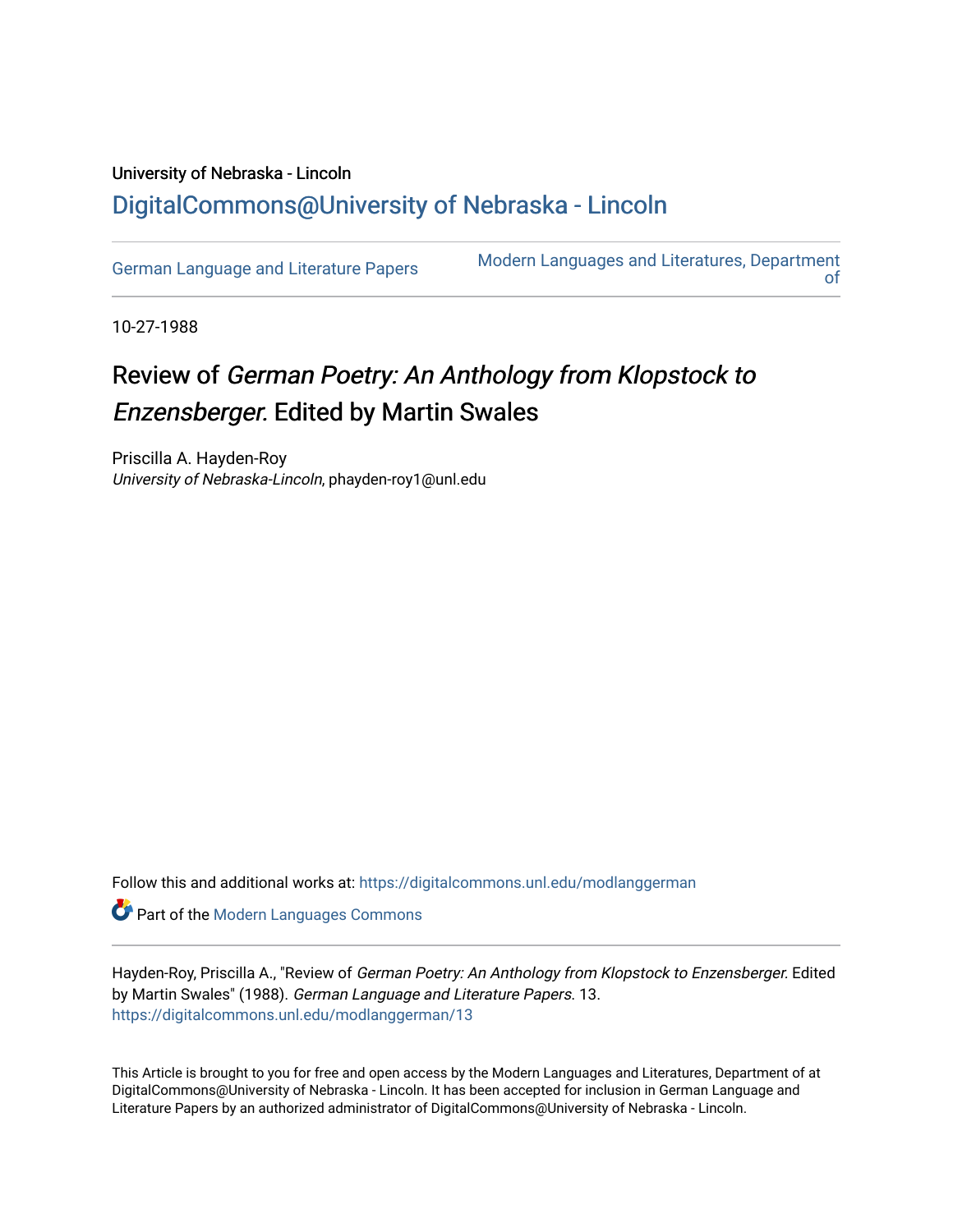## University of Nebraska - Lincoln [DigitalCommons@University of Nebraska - Lincoln](https://digitalcommons.unl.edu/)

[German Language and Literature Papers](https://digitalcommons.unl.edu/modlanggerman) Modern Languages and Literatures, Department [of](https://digitalcommons.unl.edu/modernlanguages) 

10-27-1988

## Review of German Poetry: An Anthology from Klopstock to Enzensberger. Edited by Martin Swales

Priscilla A. Hayden-Roy University of Nebraska-Lincoln, phayden-roy1@unl.edu

Follow this and additional works at: [https://digitalcommons.unl.edu/modlanggerman](https://digitalcommons.unl.edu/modlanggerman?utm_source=digitalcommons.unl.edu%2Fmodlanggerman%2F13&utm_medium=PDF&utm_campaign=PDFCoverPages) 

Part of the [Modern Languages Commons](http://network.bepress.com/hgg/discipline/1130?utm_source=digitalcommons.unl.edu%2Fmodlanggerman%2F13&utm_medium=PDF&utm_campaign=PDFCoverPages) 

Hayden-Roy, Priscilla A., "Review of German Poetry: An Anthology from Klopstock to Enzensberger. Edited by Martin Swales" (1988). German Language and Literature Papers. 13. [https://digitalcommons.unl.edu/modlanggerman/13](https://digitalcommons.unl.edu/modlanggerman/13?utm_source=digitalcommons.unl.edu%2Fmodlanggerman%2F13&utm_medium=PDF&utm_campaign=PDFCoverPages)

This Article is brought to you for free and open access by the Modern Languages and Literatures, Department of at DigitalCommons@University of Nebraska - Lincoln. It has been accepted for inclusion in German Language and Literature Papers by an authorized administrator of DigitalCommons@University of Nebraska - Lincoln.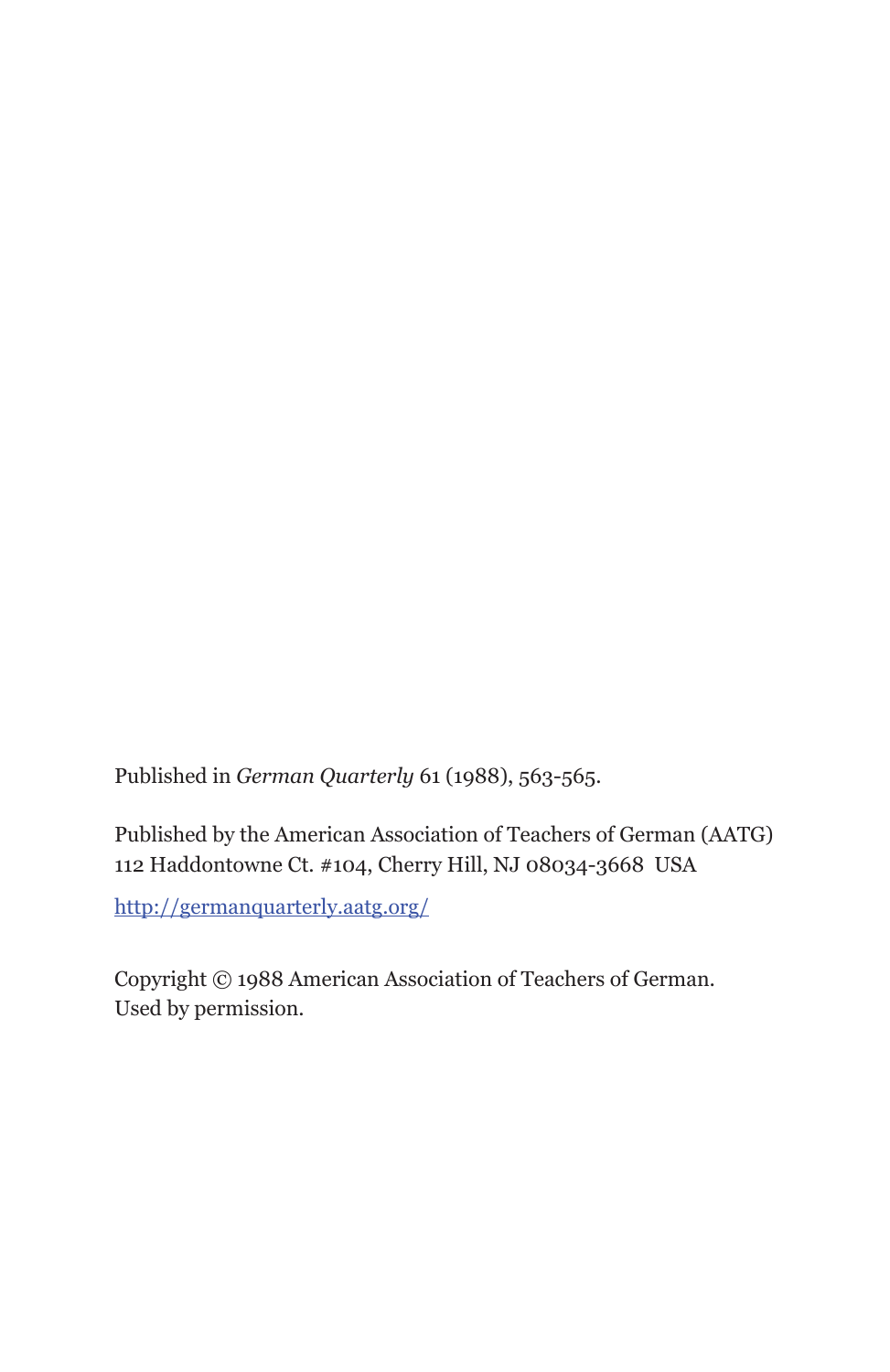Published in *German Quarterly* 61 (1988), 563-565.

Published by the American Association of Teachers of German (AATG) 112 Haddontowne Ct. #104, Cherry Hill, NJ 08034-3668 USA

http://germanquarterly.aatg.org/

Copyright © 1988 American Association of Teachers of German. Used by permission.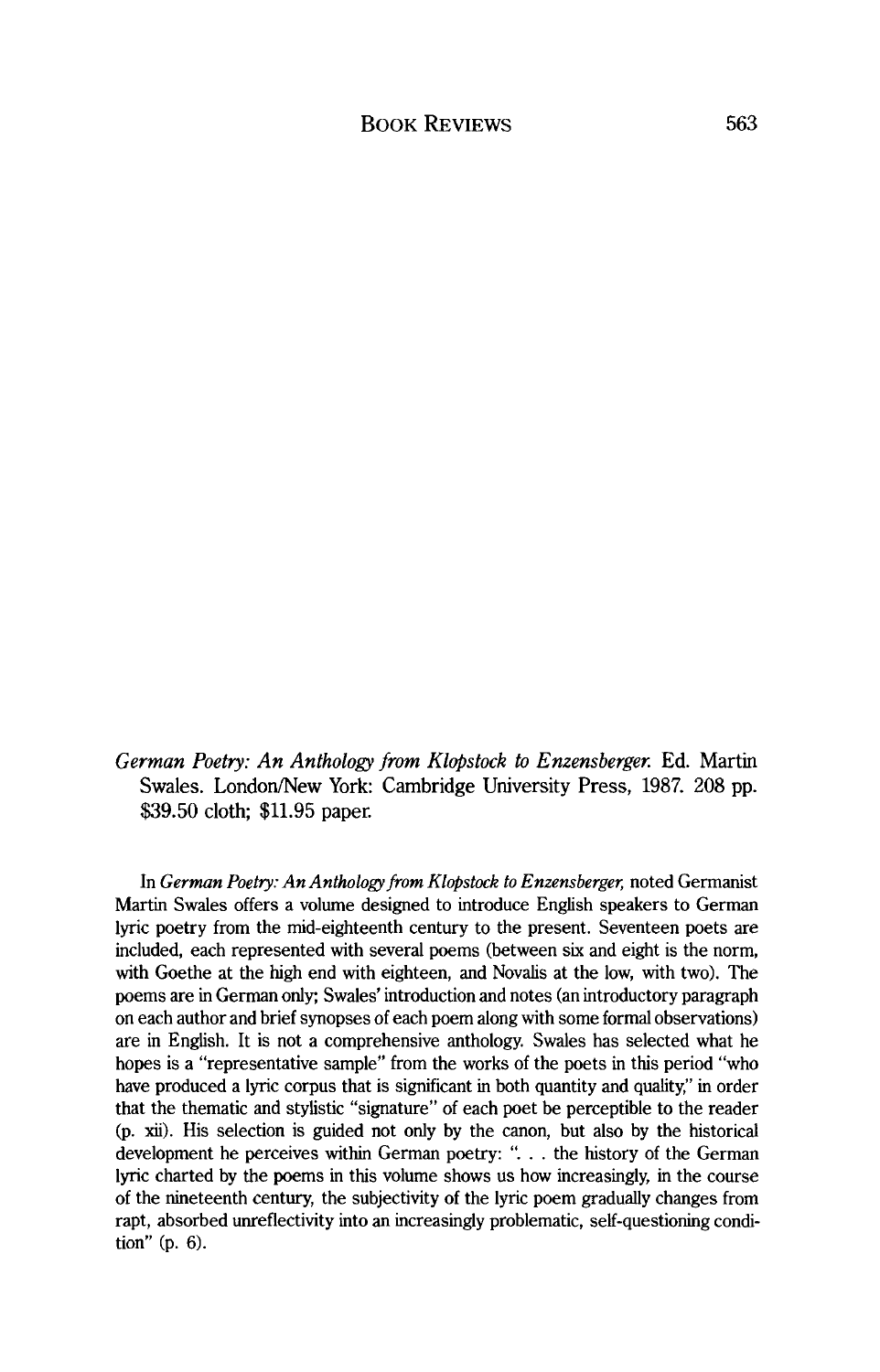*German Poetry: An Anthology from Klopstock to Enzensberger.* Ed. Martin Swales. London/New York: Cambridge University Press, 1987. 208 pp. \$39.50 cloth; \$11.95 paper.

In *German Poetry: An Anthology from Klopstock to Enzensberger,* noted Germanist Martin Swales offers a volume designed to introduce English speakers to German lyric poetry from the mid-eighteenth century to the present. Seventeen poets are included, each represented with several poems (between six and eight is the norm, with Goethe at the high end with eighteen, and Novalis at the low, with two). The poems are in German only; Swales' introduction and notes (an introductory paragraph on each author and brief synopses of each poem along with some formal observations) are in English. It is not a comprehensive anthology. Swales has selected what he hopes is a "representative sample" from the works of the poets in this period "who have produced a lyric corpus that is significant in both quantity and quality," in order that the thematic and stylistic "signature" of each poet be perceptible to the reader (p. **xii).** His selection is guided not only by the canon, but also by the historical development he perceives within German poetry: ". . . the history of the German lyric charted by the poems in this volume shows us how increasingly, in the course of the nineteenth century, the subjectivity of the lyric poem gradually changes from rapt, absorbed unreflectivity into an increasingly problematic, self-questioning condition" (p. *6).*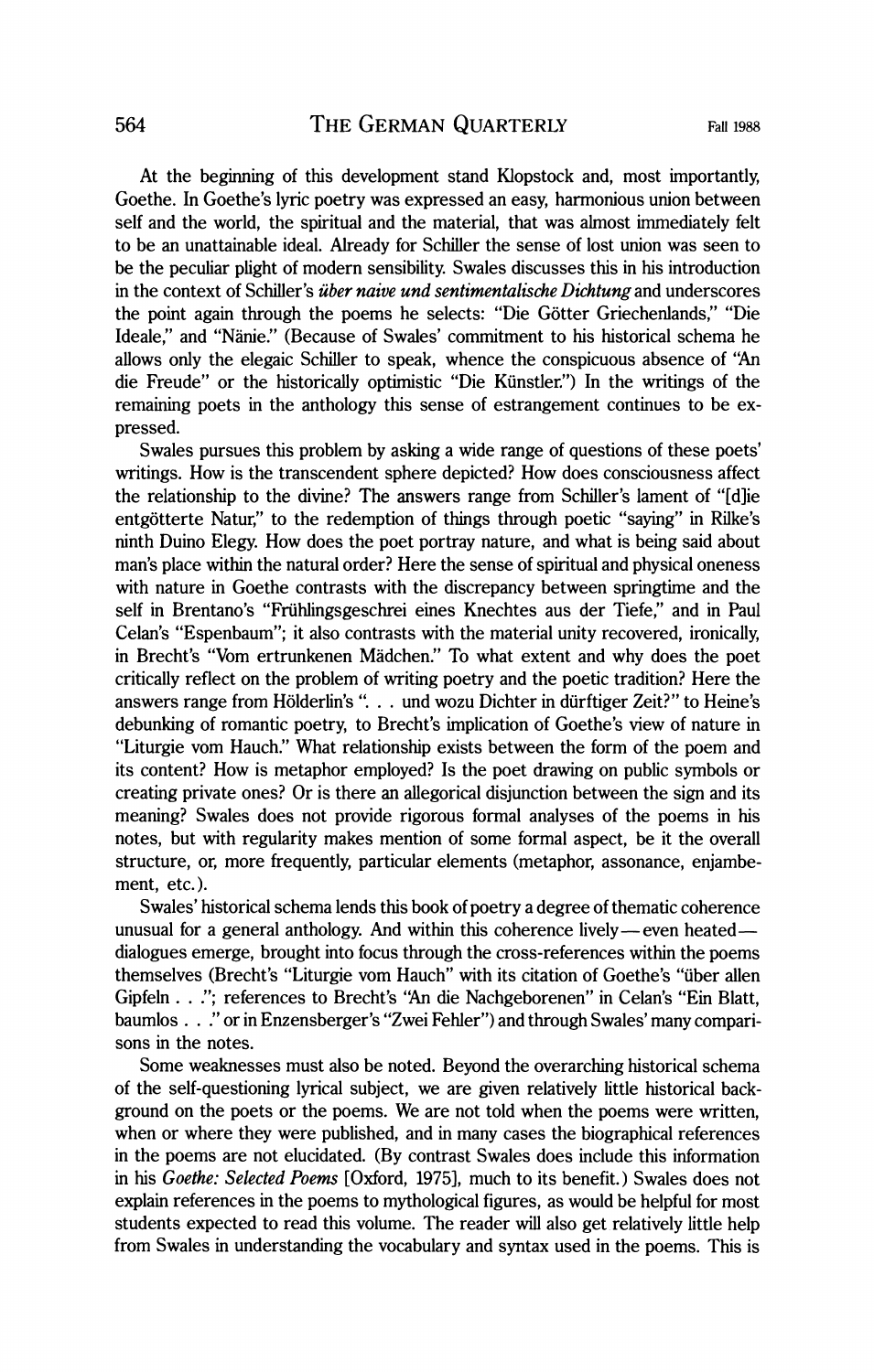At the beginning of this development stand Klopstock and, most importantly, Goethe. In Goethe's lyric poetry was expressed an easy, harmonious union between self and the world, the spiritual and the material, that was almost immediately felt to be an unattainable ideal. Already for Schiller the sense of lost union was seen to be the peculiar plight of modern sensibility. Swales discusses this in his introduction in the context of Schiller's *iiber naive und sentimentalische Dichtung* and underscores the point again through the poems he selects: "Die Gotter Griechenlands," "Die Ideale," and "Nanie." (Because of Swales' commitment to his historical schema he allows only the elegaic Schiller to speak, whence the conspicuous absence of **"An**  die Freude" or the historically optimistic "Die Kiinstler.") In the writings of the remaining poets in the anthology this sense of estrangement continues to be expressed.

Swales pursues this problem by asking a wide range of questions of these poets' writings. How is the transcendent sphere depicted? How does consciousness affect the relationship to the divine? The answers range from Schiller's lament of "[dlie entgötterte Natur," to the redemption of things through poetic "saying" in Rilke's ninth Duino Elegy. How does the poet portray nature, and what is being said about man's place within the natural order? Here the sense of spiritual and physical oneness with nature in Goethe contrasts with the discrepancy between springtime and the self in Brentano's "Friihlingsgeschrei eines Knechtes aus der Tiefe," and in Paul Celan's "Espenbaum"; it also contrasts with the material unity recovered, ironically, in Brecht's "Vom ertrunkenen Madchen." To what extent and why does the poet critically reflect on the problem of writing poetry and the poetic tradition? Here the answers range from Hölderlin's ". . . und wozu Dichter in dürftiger Zeit?" to Heine's debunking of romantic poetry, to Brecht's implication of Goethe's view of nature in "Liturgie vom Hauch." What relationship exists between the form of the poem and its content? How is metaphor employed? Is the poet drawing on public symbols or creating private ones? Or is there an allegorical disjunction between the sign and its meaning? Swales does not provide rigorous formal analyses of the poems in his notes, but with regularity makes mention of some formal aspect, be it the overall structure, or, more frequently, particular elements (metaphor, assonance, enjambement, etc.).

Swales' historical schema lends this book of poetry a degree of thematic coherence unusual for a general anthology. And within this coherence lively-even heateddialogues emerge, brought into focus through the cross-references within the poems themselves (Brecht's "Liturgie vom Hauch" with its citation of Goethe's "iiber allen Gipfeln . . ."; references to Brecht's **"An** die Nachgeborenen" in Celan's "Ein Blatt, baumlos . . ." or in Enzensberger's "Zwei Fehler") and through Swales' many comparisons in the notes.

Some weaknesses must also be noted. Beyond the overarching historical schema of the self-questioning lyrical subject, we are given relatively little historical background on the poets or the poems. We are not told when the poems were written, when or where they were published, and in many cases the biographical references in the poems are not elucidated. (By contrast Swales does include this information in his *Goethe: Selected Poems* [Oxford, 19751, much to its benefit.) Swales does not explain references in the poems to mythological figures, as would be helpful for most students expected to read this volume. The reader will also get relatively little help from Swales in understanding the vocabulary and syntax used in the poems. This is